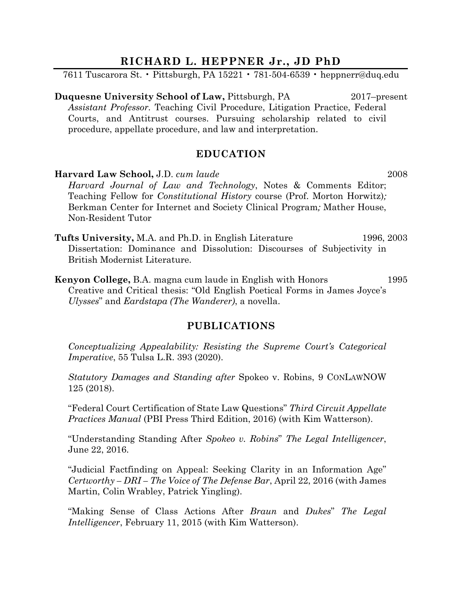# **RICHARD L. HEPPNER Jr., JD PhD**

7611 Tuscarora St. • Pittsburgh, PA 15221 • 781-504-6539 • heppnerr@duq.edu

**Duquesne University School of Law, Pittsburgh, PA** 2017–present *Assistant Professor.* Teaching Civil Procedure, Litigation Practice, Federal Courts, and Antitrust courses. Pursuing scholarship related to civil procedure, appellate procedure, and law and interpretation.

# **EDUCATION**

**Harvard Law School,** J.D. *cum laude* 2008 *Harvard Journal of Law and Technology*, Notes & Comments Editor; Teaching Fellow for *Constitutional History* course (Prof. Morton Horwitz)*;*  Berkman Center for Internet and Society Clinical Program*;* Mather House, Non-Resident Tutor

**Tufts University,** M.A. and Ph.D. in English Literature 1996, 2003 Dissertation: Dominance and Dissolution: Discourses of Subjectivity in British Modernist Literature.

**Kenyon College,** B.A. magna cum laude in English with Honors 1995 Creative and Critical thesis: "Old English Poetical Forms in James Joyce's *Ulysses*" and *Eardstapa (The Wanderer)*, a novella.

# **PUBLICATIONS**

*Conceptualizing Appealability: Resisting the Supreme Court's Categorical Imperative*, 55 Tulsa L.R. 393 (2020).

*Statutory Damages and Standing after* Spokeo v. Robins, 9 CONLAWNOW 125 (2018).

"Federal Court Certification of State Law Questions" *Third Circuit Appellate Practices Manual* (PBI Press Third Edition, 2016) (with Kim Watterson).

"Understanding Standing After *Spokeo v. Robins*" *The Legal Intelligencer*, June 22, 2016.

"Judicial Factfinding on Appeal: Seeking Clarity in an Information Age" *Certworthy – DRI – The Voice of The Defense Bar*, April 22, 2016 (with James Martin, Colin Wrabley, Patrick Yingling).

"Making Sense of Class Actions After *Braun* and *Dukes*" *The Legal Intelligencer*, February 11, 2015 (with Kim Watterson).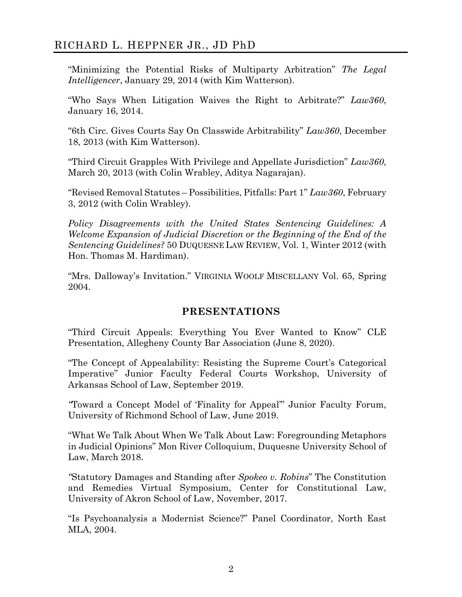# RICHARD L. HEPPNER JR., JD PhD

"Minimizing the Potential Risks of Multiparty Arbitration" *The Legal Intelligencer*, January 29, 2014 (with Kim Watterson).

"Who Says When Litigation Waives the Right to Arbitrate?" *Law360*, January 16, 2014.

"6th Circ. Gives Courts Say On Classwide Arbitrability" *Law360*, December 18, 2013 (with Kim Watterson).

"Third Circuit Grapples With Privilege and Appellate Jurisdiction" *Law360*, March 20, 2013 (with Colin Wrabley, Aditya Nagarajan).

"Revised Removal Statutes – Possibilities, Pitfalls: Part 1" *Law360*, February 3, 2012 (with Colin Wrabley).

*Policy Disagreements with the United States Sentencing Guidelines: A Welcome Expansion of Judicial Discretion or the Beginning of the End of the Sentencing Guidelines?* 50 DUQUESNE LAW REVIEW, Vol. 1, Winter 2012 (with Hon. Thomas M. Hardiman).

"Mrs. Dalloway's Invitation." VIRGINIA WOOLF MISCELLANY Vol. 65, Spring 2004.

# **PRESENTATIONS**

"Third Circuit Appeals: Everything You Ever Wanted to Know" CLE Presentation, Allegheny County Bar Association (June 8, 2020).

"The Concept of Appealability: Resisting the Supreme Court's Categorical Imperative" Junior Faculty Federal Courts Workshop, University of Arkansas School of Law, September 2019.

*"*Toward a Concept Model of 'Finality for Appeal'" Junior Faculty Forum, University of Richmond School of Law, June 2019.

"What We Talk About When We Talk About Law: Foregrounding Metaphors in Judicial Opinions" Mon River Colloquium, Duquesne University School of Law, March 2018.

*"*Statutory Damages and Standing after *Spokeo v. Robins*" The Constitution and Remedies Virtual Symposium, Center for Constitutional Law, University of Akron School of Law, November, 2017.

"Is Psychoanalysis a Modernist Science?" Panel Coordinator, North East MLA, 2004.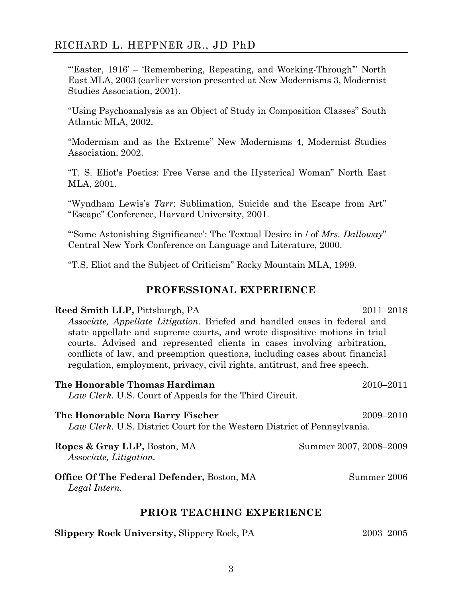# RICHARD L. HEPPNER JR., JD PhD

"Easter, 1916' – 'Remembering, Repeating, and Working-Through'" North East MLA, 2003 (earlier version presented at New Modernisms 3, Modernist Studies Association, 2001).

"Using Psychoanalysis as an Object of Study in Composition Classes" South Atlantic MLA, 2002.

"Modernism and as the Extreme" New Modernisms 4, Modernist Studies Association, 2002.

"T. S. Eliot's Poetics: Free Verse and the Hysterical Woman" North East MLA, 2001.

"Wyndham Lewis's *Tarr*: Sublimation, Suicide and the Escape from Art" "Escape" Conference, Harvard University, 2001.

"'Some Astonishing Significance': The Textual Desire in / of *Mrs. Dalloway*" Central New York Conference on Language and Literature, 2000.

"T.S. Eliot and the Subject of Criticism" Rocky Mountain MLA, 1999.

#### **PROFESSIONAL EXPERIENCE**

#### **Reed Smith LLP,** Pittsburgh, PA 2011–2018

*Associate, Appellate Litigation.* Briefed and handled cases in federal and state appellate and supreme courts, and wrote dispositive motions in trial courts. Advised and represented clients in cases involving arbitration, conflicts of law, and preemption questions, including cases about financial regulation, employment, privacy, civil rights, antitrust, and free speech.

| The Honorable Thomas Hardiman<br>Law Clerk. U.S. Court of Appeals for the Third Circuit.                     | $2010 - 2011$          |  |
|--------------------------------------------------------------------------------------------------------------|------------------------|--|
| The Honorable Nora Barry Fischer<br>Law Clerk. U.S. District Court for the Western District of Pennsylvania. | 2009-2010              |  |
| Ropes & Gray LLP, Boston, MA<br><i>Associate, Litigation.</i>                                                | Summer 2007, 2008–2009 |  |
| <b>Office Of The Federal Defender, Boston, MA</b><br>Legal Intern.                                           | Summer 2006            |  |
| PRIOR TEACHING EXPERIENCE                                                                                    |                        |  |

|  | <b>Slippery Rock University, Slippery Rock, PA</b> | 2003-2005 |
|--|----------------------------------------------------|-----------|
|--|----------------------------------------------------|-----------|